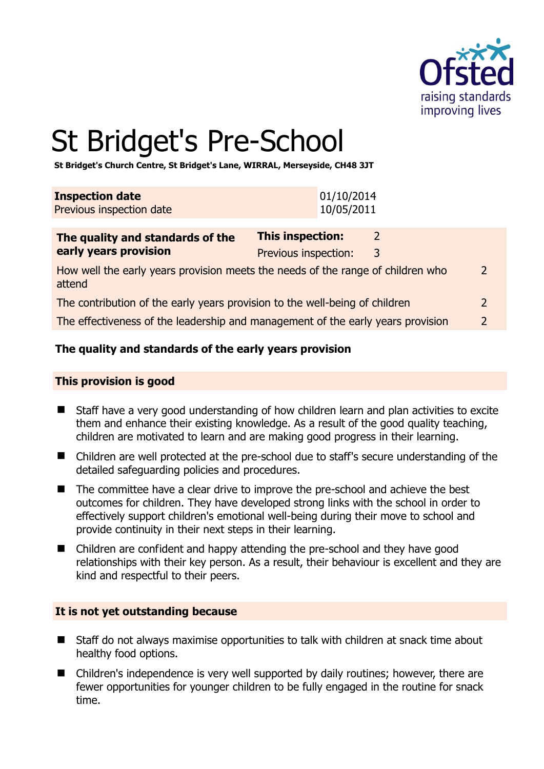

# St Bridget's Pre-School

**St Bridget's Church Centre, St Bridget's Lane, WIRRAL, Merseyside, CH48 3JT** 

| <b>Inspection date</b>   | 01/10/2014 |
|--------------------------|------------|
| Previous inspection date | 10/05/2011 |

| The quality and standards of the                                                          | <b>This inspection:</b> |   |               |
|-------------------------------------------------------------------------------------------|-------------------------|---|---------------|
| early years provision                                                                     | Previous inspection:    | 3 |               |
| How well the early years provision meets the needs of the range of children who<br>attend |                         |   | $\mathcal{L}$ |
| The contribution of the early years provision to the well-being of children               |                         |   |               |
| The effectiveness of the leadership and management of the early years provision           |                         |   | $\mathcal{P}$ |

# **The quality and standards of the early years provision**

#### **This provision is good**

- Staff have a very good understanding of how children learn and plan activities to excite them and enhance their existing knowledge. As a result of the good quality teaching, children are motivated to learn and are making good progress in their learning.
- Children are well protected at the pre-school due to staff's secure understanding of the detailed safeguarding policies and procedures.
- The committee have a clear drive to improve the pre-school and achieve the best outcomes for children. They have developed strong links with the school in order to effectively support children's emotional well-being during their move to school and provide continuity in their next steps in their learning.
- Children are confident and happy attending the pre-school and they have good relationships with their key person. As a result, their behaviour is excellent and they are kind and respectful to their peers.

#### **It is not yet outstanding because**

- Staff do not always maximise opportunities to talk with children at snack time about healthy food options.
- Children's independence is very well supported by daily routines; however, there are fewer opportunities for younger children to be fully engaged in the routine for snack time.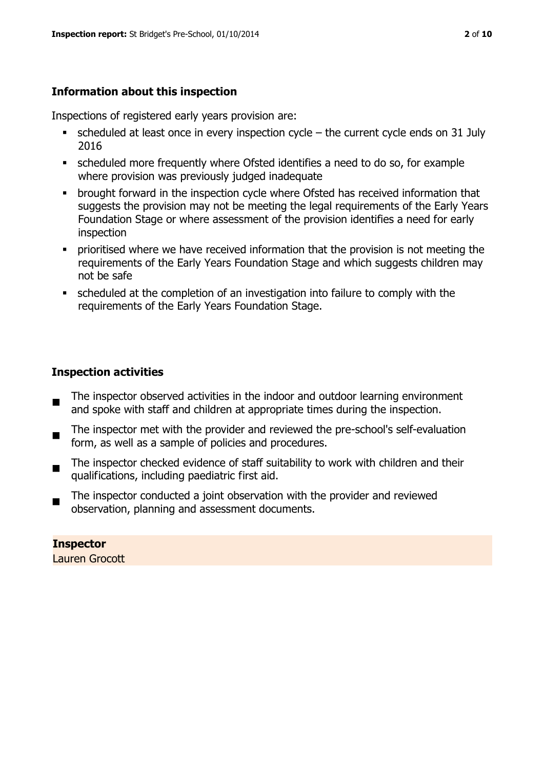# **Information about this inspection**

Inspections of registered early years provision are:

- scheduled at least once in every inspection cycle the current cycle ends on 31 July 2016
- scheduled more frequently where Ofsted identifies a need to do so, for example where provision was previously judged inadequate
- **•** brought forward in the inspection cycle where Ofsted has received information that suggests the provision may not be meeting the legal requirements of the Early Years Foundation Stage or where assessment of the provision identifies a need for early inspection
- **•** prioritised where we have received information that the provision is not meeting the requirements of the Early Years Foundation Stage and which suggests children may not be safe
- scheduled at the completion of an investigation into failure to comply with the requirements of the Early Years Foundation Stage.

# **Inspection activities**

- $\blacksquare$ The inspector observed activities in the indoor and outdoor learning environment and spoke with staff and children at appropriate times during the inspection.
- The inspector met with the provider and reviewed the pre-school's self-evaluation form, as well as a sample of policies and procedures.
- The inspector checked evidence of staff suitability to work with children and their qualifications, including paediatric first aid.
- The inspector conducted a joint observation with the provider and reviewed observation, planning and assessment documents.

**Inspector**  Lauren Grocott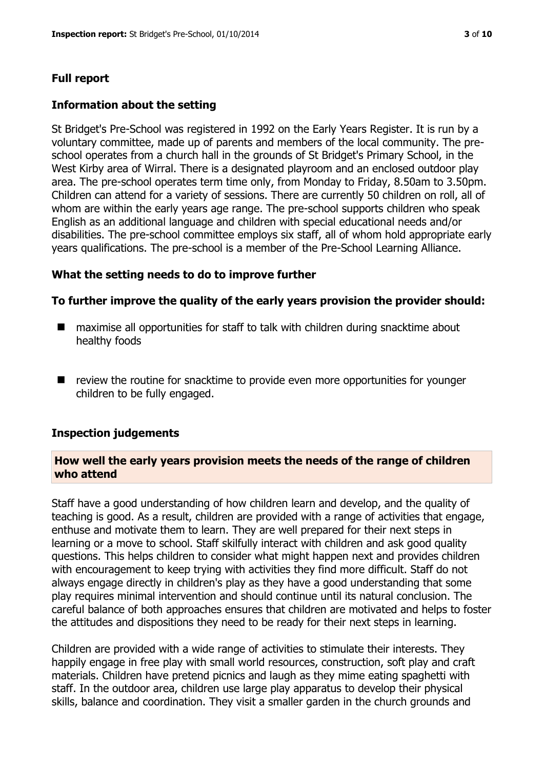# **Full report**

#### **Information about the setting**

St Bridget's Pre-School was registered in 1992 on the Early Years Register. It is run by a voluntary committee, made up of parents and members of the local community. The preschool operates from a church hall in the grounds of St Bridget's Primary School, in the West Kirby area of Wirral. There is a designated playroom and an enclosed outdoor play area. The pre-school operates term time only, from Monday to Friday, 8.50am to 3.50pm. Children can attend for a variety of sessions. There are currently 50 children on roll, all of whom are within the early years age range. The pre-school supports children who speak English as an additional language and children with special educational needs and/or disabilities. The pre-school committee employs six staff, all of whom hold appropriate early years qualifications. The pre-school is a member of the Pre-School Learning Alliance.

#### **What the setting needs to do to improve further**

#### **To further improve the quality of the early years provision the provider should:**

- maximise all opportunities for staff to talk with children during snacktime about healthy foods
- $\blacksquare$  review the routine for snacktime to provide even more opportunities for younger children to be fully engaged.

#### **Inspection judgements**

#### **How well the early years provision meets the needs of the range of children who attend**

Staff have a good understanding of how children learn and develop, and the quality of teaching is good. As a result, children are provided with a range of activities that engage, enthuse and motivate them to learn. They are well prepared for their next steps in learning or a move to school. Staff skilfully interact with children and ask good quality questions. This helps children to consider what might happen next and provides children with encouragement to keep trying with activities they find more difficult. Staff do not always engage directly in children's play as they have a good understanding that some play requires minimal intervention and should continue until its natural conclusion. The careful balance of both approaches ensures that children are motivated and helps to foster the attitudes and dispositions they need to be ready for their next steps in learning.

Children are provided with a wide range of activities to stimulate their interests. They happily engage in free play with small world resources, construction, soft play and craft materials. Children have pretend picnics and laugh as they mime eating spaghetti with staff. In the outdoor area, children use large play apparatus to develop their physical skills, balance and coordination. They visit a smaller garden in the church grounds and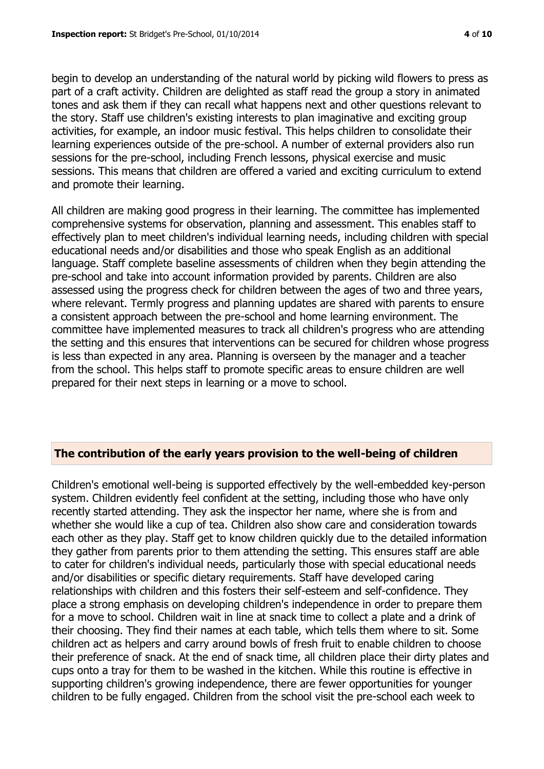begin to develop an understanding of the natural world by picking wild flowers to press as part of a craft activity. Children are delighted as staff read the group a story in animated tones and ask them if they can recall what happens next and other questions relevant to the story. Staff use children's existing interests to plan imaginative and exciting group activities, for example, an indoor music festival. This helps children to consolidate their learning experiences outside of the pre-school. A number of external providers also run sessions for the pre-school, including French lessons, physical exercise and music sessions. This means that children are offered a varied and exciting curriculum to extend and promote their learning.

All children are making good progress in their learning. The committee has implemented comprehensive systems for observation, planning and assessment. This enables staff to effectively plan to meet children's individual learning needs, including children with special educational needs and/or disabilities and those who speak English as an additional language. Staff complete baseline assessments of children when they begin attending the pre-school and take into account information provided by parents. Children are also assessed using the progress check for children between the ages of two and three years, where relevant. Termly progress and planning updates are shared with parents to ensure a consistent approach between the pre-school and home learning environment. The committee have implemented measures to track all children's progress who are attending the setting and this ensures that interventions can be secured for children whose progress is less than expected in any area. Planning is overseen by the manager and a teacher from the school. This helps staff to promote specific areas to ensure children are well prepared for their next steps in learning or a move to school.

#### **The contribution of the early years provision to the well-being of children**

Children's emotional well-being is supported effectively by the well-embedded key-person system. Children evidently feel confident at the setting, including those who have only recently started attending. They ask the inspector her name, where she is from and whether she would like a cup of tea. Children also show care and consideration towards each other as they play. Staff get to know children quickly due to the detailed information they gather from parents prior to them attending the setting. This ensures staff are able to cater for children's individual needs, particularly those with special educational needs and/or disabilities or specific dietary requirements. Staff have developed caring relationships with children and this fosters their self-esteem and self-confidence. They place a strong emphasis on developing children's independence in order to prepare them for a move to school. Children wait in line at snack time to collect a plate and a drink of their choosing. They find their names at each table, which tells them where to sit. Some children act as helpers and carry around bowls of fresh fruit to enable children to choose their preference of snack. At the end of snack time, all children place their dirty plates and cups onto a tray for them to be washed in the kitchen. While this routine is effective in supporting children's growing independence, there are fewer opportunities for younger children to be fully engaged. Children from the school visit the pre-school each week to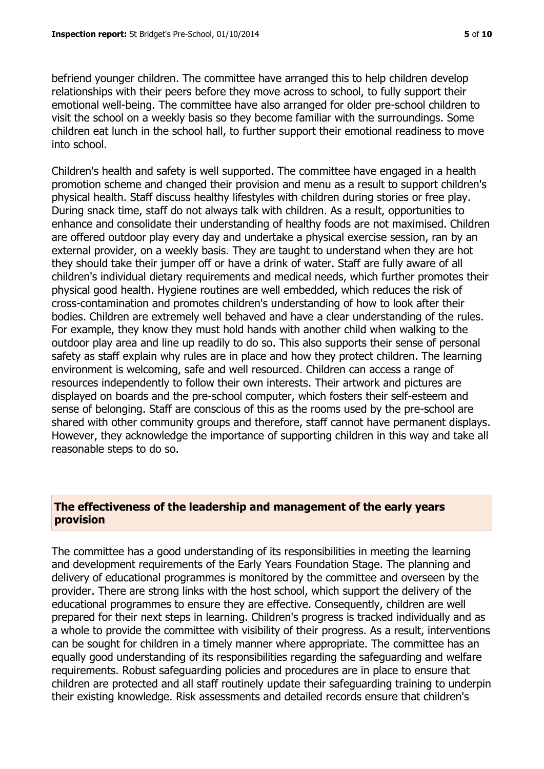befriend younger children. The committee have arranged this to help children develop relationships with their peers before they move across to school, to fully support their emotional well-being. The committee have also arranged for older pre-school children to visit the school on a weekly basis so they become familiar with the surroundings. Some children eat lunch in the school hall, to further support their emotional readiness to move into school.

Children's health and safety is well supported. The committee have engaged in a health promotion scheme and changed their provision and menu as a result to support children's physical health. Staff discuss healthy lifestyles with children during stories or free play. During snack time, staff do not always talk with children. As a result, opportunities to enhance and consolidate their understanding of healthy foods are not maximised. Children are offered outdoor play every day and undertake a physical exercise session, ran by an external provider, on a weekly basis. They are taught to understand when they are hot they should take their jumper off or have a drink of water. Staff are fully aware of all children's individual dietary requirements and medical needs, which further promotes their physical good health. Hygiene routines are well embedded, which reduces the risk of cross-contamination and promotes children's understanding of how to look after their bodies. Children are extremely well behaved and have a clear understanding of the rules. For example, they know they must hold hands with another child when walking to the outdoor play area and line up readily to do so. This also supports their sense of personal safety as staff explain why rules are in place and how they protect children. The learning environment is welcoming, safe and well resourced. Children can access a range of resources independently to follow their own interests. Their artwork and pictures are displayed on boards and the pre-school computer, which fosters their self-esteem and sense of belonging. Staff are conscious of this as the rooms used by the pre-school are shared with other community groups and therefore, staff cannot have permanent displays. However, they acknowledge the importance of supporting children in this way and take all reasonable steps to do so.

## **The effectiveness of the leadership and management of the early years provision**

The committee has a good understanding of its responsibilities in meeting the learning and development requirements of the Early Years Foundation Stage. The planning and delivery of educational programmes is monitored by the committee and overseen by the provider. There are strong links with the host school, which support the delivery of the educational programmes to ensure they are effective. Consequently, children are well prepared for their next steps in learning. Children's progress is tracked individually and as a whole to provide the committee with visibility of their progress. As a result, interventions can be sought for children in a timely manner where appropriate. The committee has an equally good understanding of its responsibilities regarding the safeguarding and welfare requirements. Robust safeguarding policies and procedures are in place to ensure that children are protected and all staff routinely update their safeguarding training to underpin their existing knowledge. Risk assessments and detailed records ensure that children's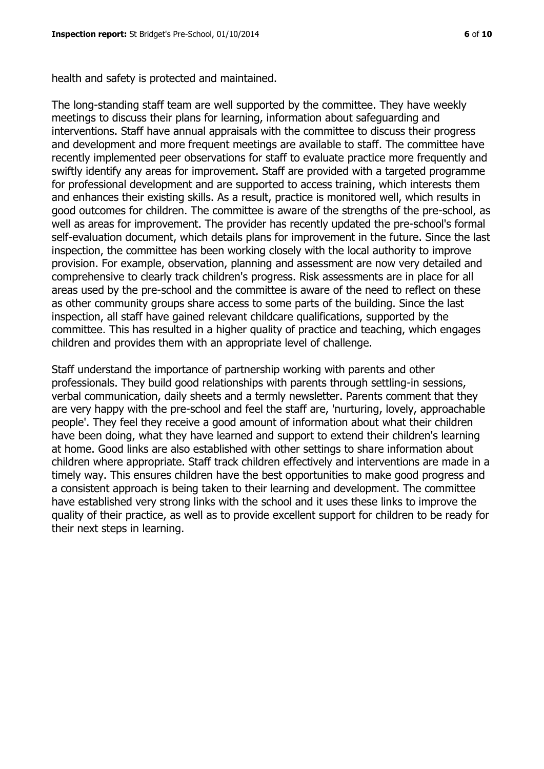health and safety is protected and maintained.

The long-standing staff team are well supported by the committee. They have weekly meetings to discuss their plans for learning, information about safeguarding and interventions. Staff have annual appraisals with the committee to discuss their progress and development and more frequent meetings are available to staff. The committee have recently implemented peer observations for staff to evaluate practice more frequently and swiftly identify any areas for improvement. Staff are provided with a targeted programme for professional development and are supported to access training, which interests them and enhances their existing skills. As a result, practice is monitored well, which results in good outcomes for children. The committee is aware of the strengths of the pre-school, as well as areas for improvement. The provider has recently updated the pre-school's formal self-evaluation document, which details plans for improvement in the future. Since the last inspection, the committee has been working closely with the local authority to improve provision. For example, observation, planning and assessment are now very detailed and comprehensive to clearly track children's progress. Risk assessments are in place for all areas used by the pre-school and the committee is aware of the need to reflect on these as other community groups share access to some parts of the building. Since the last inspection, all staff have gained relevant childcare qualifications, supported by the committee. This has resulted in a higher quality of practice and teaching, which engages children and provides them with an appropriate level of challenge.

Staff understand the importance of partnership working with parents and other professionals. They build good relationships with parents through settling-in sessions, verbal communication, daily sheets and a termly newsletter. Parents comment that they are very happy with the pre-school and feel the staff are, 'nurturing, lovely, approachable people'. They feel they receive a good amount of information about what their children have been doing, what they have learned and support to extend their children's learning at home. Good links are also established with other settings to share information about children where appropriate. Staff track children effectively and interventions are made in a timely way. This ensures children have the best opportunities to make good progress and a consistent approach is being taken to their learning and development. The committee have established very strong links with the school and it uses these links to improve the quality of their practice, as well as to provide excellent support for children to be ready for their next steps in learning.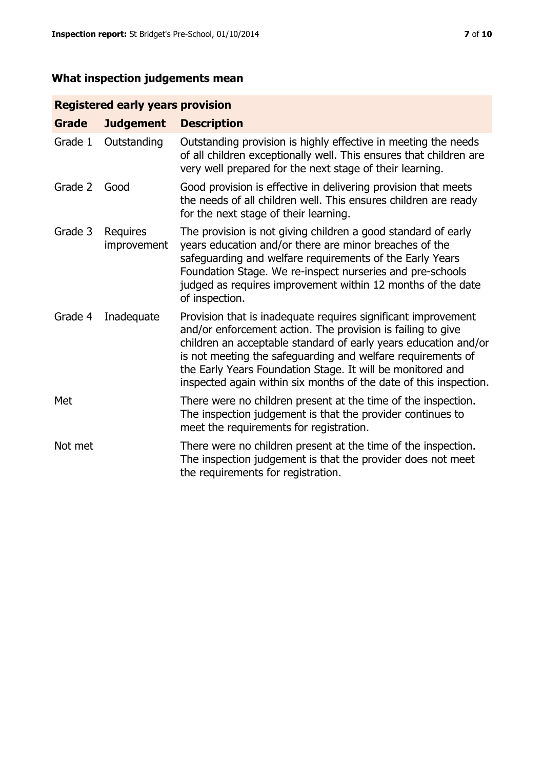# **What inspection judgements mean**

# **Registered early years provision**

| Grade   | <b>Judgement</b>        | <b>Description</b>                                                                                                                                                                                                                                                                                                                                                                                |
|---------|-------------------------|---------------------------------------------------------------------------------------------------------------------------------------------------------------------------------------------------------------------------------------------------------------------------------------------------------------------------------------------------------------------------------------------------|
| Grade 1 | Outstanding             | Outstanding provision is highly effective in meeting the needs<br>of all children exceptionally well. This ensures that children are<br>very well prepared for the next stage of their learning.                                                                                                                                                                                                  |
| Grade 2 | Good                    | Good provision is effective in delivering provision that meets<br>the needs of all children well. This ensures children are ready<br>for the next stage of their learning.                                                                                                                                                                                                                        |
| Grade 3 | Requires<br>improvement | The provision is not giving children a good standard of early<br>years education and/or there are minor breaches of the<br>safeguarding and welfare requirements of the Early Years<br>Foundation Stage. We re-inspect nurseries and pre-schools<br>judged as requires improvement within 12 months of the date<br>of inspection.                                                                 |
| Grade 4 | Inadequate              | Provision that is inadequate requires significant improvement<br>and/or enforcement action. The provision is failing to give<br>children an acceptable standard of early years education and/or<br>is not meeting the safeguarding and welfare requirements of<br>the Early Years Foundation Stage. It will be monitored and<br>inspected again within six months of the date of this inspection. |
| Met     |                         | There were no children present at the time of the inspection.<br>The inspection judgement is that the provider continues to<br>meet the requirements for registration.                                                                                                                                                                                                                            |
| Not met |                         | There were no children present at the time of the inspection.<br>The inspection judgement is that the provider does not meet<br>the requirements for registration.                                                                                                                                                                                                                                |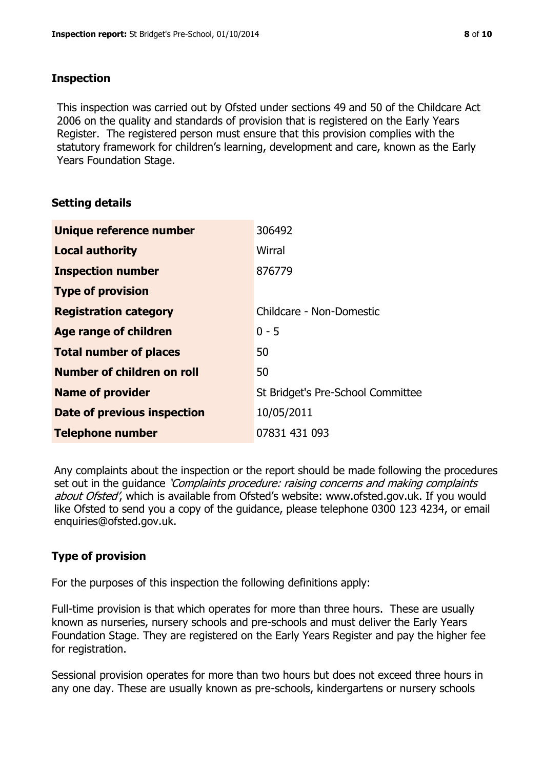# **Inspection**

This inspection was carried out by Ofsted under sections 49 and 50 of the Childcare Act 2006 on the quality and standards of provision that is registered on the Early Years Register. The registered person must ensure that this provision complies with the statutory framework for children's learning, development and care, known as the Early Years Foundation Stage.

# **Setting details**

| Unique reference number           | 306492                            |
|-----------------------------------|-----------------------------------|
| <b>Local authority</b>            | Wirral                            |
| <b>Inspection number</b>          | 876779                            |
| <b>Type of provision</b>          |                                   |
| <b>Registration category</b>      | Childcare - Non-Domestic          |
| Age range of children             | $0 - 5$                           |
| <b>Total number of places</b>     | 50                                |
| <b>Number of children on roll</b> | 50                                |
| <b>Name of provider</b>           | St Bridget's Pre-School Committee |
| Date of previous inspection       | 10/05/2011                        |
| <b>Telephone number</b>           | 07831 431 093                     |

Any complaints about the inspection or the report should be made following the procedures set out in the guidance *'Complaints procedure: raising concerns and making complaints* about Ofsted', which is available from Ofsted's website: www.ofsted.gov.uk. If you would like Ofsted to send you a copy of the guidance, please telephone 0300 123 4234, or email enquiries@ofsted.gov.uk.

# **Type of provision**

For the purposes of this inspection the following definitions apply:

Full-time provision is that which operates for more than three hours. These are usually known as nurseries, nursery schools and pre-schools and must deliver the Early Years Foundation Stage. They are registered on the Early Years Register and pay the higher fee for registration.

Sessional provision operates for more than two hours but does not exceed three hours in any one day. These are usually known as pre-schools, kindergartens or nursery schools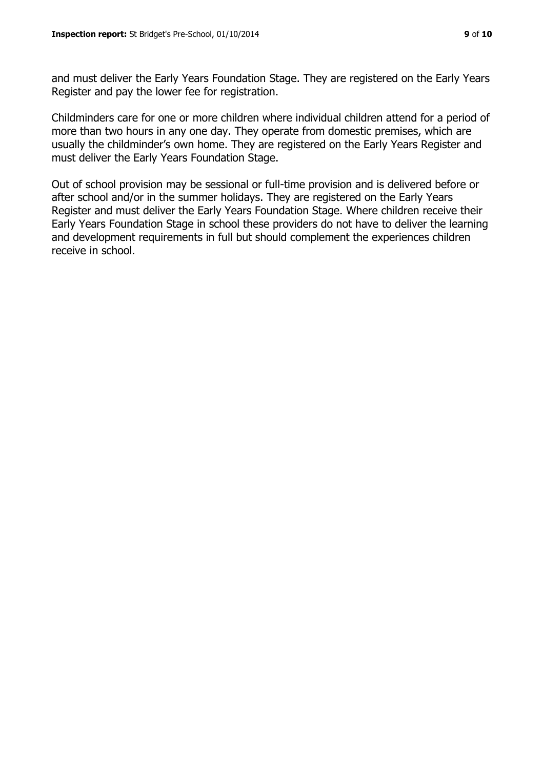and must deliver the Early Years Foundation Stage. They are registered on the Early Years Register and pay the lower fee for registration.

Childminders care for one or more children where individual children attend for a period of more than two hours in any one day. They operate from domestic premises, which are usually the childminder's own home. They are registered on the Early Years Register and must deliver the Early Years Foundation Stage.

Out of school provision may be sessional or full-time provision and is delivered before or after school and/or in the summer holidays. They are registered on the Early Years Register and must deliver the Early Years Foundation Stage. Where children receive their Early Years Foundation Stage in school these providers do not have to deliver the learning and development requirements in full but should complement the experiences children receive in school.